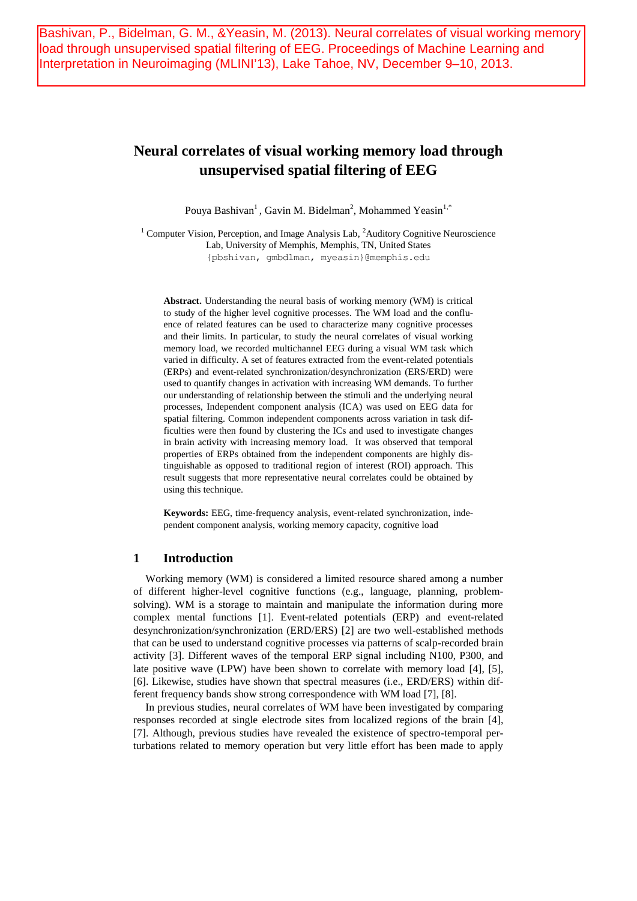Bashivan, P., Bidelman, G. M., &Yeasin, M. (2013). Neural correlates of visual working memory load through unsupervised spatial filtering of EEG. Proceedings of Machine Learning and Interpretation in Neuroimaging (MLINI'13), Lake Tahoe, NV, December 9–10, 2013.

# **Neural correlates of visual working memory load through unsupervised spatial filtering of EEG**

Pouya Bashivan<sup>1</sup>, Gavin M. Bidelman<sup>2</sup>, Mohammed Yeasin<sup>1,\*</sup>

<sup>1</sup> Computer Vision, Perception, and Image Analysis Lab,  ${}^{2}$ Auditory Cognitive Neuroscience Lab, University of Memphis, Memphis, TN, United States {pbshivan, gmbdlman, myeasin}@memphis.edu

**Abstract.** Understanding the neural basis of working memory (WM) is critical to study of the higher level cognitive processes. The WM load and the confluence of related features can be used to characterize many cognitive processes and their limits. In particular, to study the neural correlates of visual working memory load, we recorded multichannel EEG during a visual WM task which varied in difficulty. A set of features extracted from the event-related potentials (ERPs) and event-related synchronization/desynchronization (ERS/ERD) were used to quantify changes in activation with increasing WM demands. To further our understanding of relationship between the stimuli and the underlying neural processes, Independent component analysis (ICA) was used on EEG data for spatial filtering. Common independent components across variation in task difficulties were then found by clustering the ICs and used to investigate changes in brain activity with increasing memory load. It was observed that temporal properties of ERPs obtained from the independent components are highly distinguishable as opposed to traditional region of interest (ROI) approach. This result suggests that more representative neural correlates could be obtained by using this technique.

**Keywords:** EEG, time-frequency analysis, event-related synchronization, independent component analysis, working memory capacity, cognitive load

## **1 Introduction**

Working memory (WM) is considered a limited resource shared among a number of different higher-level cognitive functions (e.g., language, planning, problemsolving). WM is a storage to maintain and manipulate the information during more complex mental functions [1]. Event-related potentials (ERP) and event-related desynchronization/synchronization (ERD/ERS) [2] are two well-established methods that can be used to understand cognitive processes via patterns of scalp-recorded brain activity [3]. Different waves of the temporal ERP signal including N100, P300, and late positive wave (LPW) have been shown to correlate with memory load [4], [5], [6]. Likewise, studies have shown that spectral measures (i.e., ERD/ERS) within different frequency bands show strong correspondence with WM load [7], [8].

In previous studies, neural correlates of WM have been investigated by comparing responses recorded at single electrode sites from localized regions of the brain [4], [7]. Although, previous studies have revealed the existence of spectro-temporal perturbations related to memory operation but very little effort has been made to apply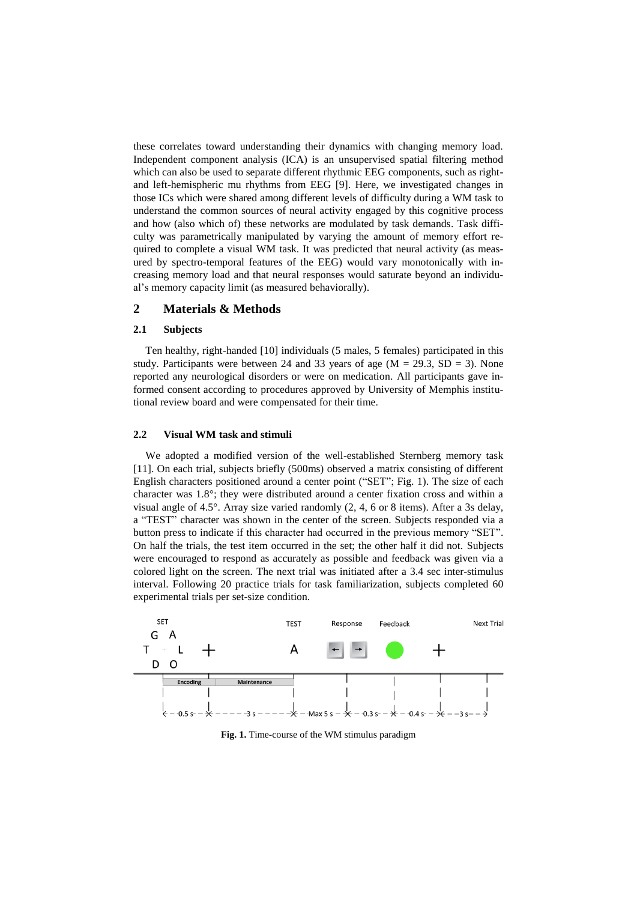these correlates toward understanding their dynamics with changing memory load. Independent component analysis (ICA) is an unsupervised spatial filtering method which can also be used to separate different rhythmic EEG components, such as rightand left-hemispheric mu rhythms from EEG [9]. Here, we investigated changes in those ICs which were shared among different levels of difficulty during a WM task to understand the common sources of neural activity engaged by this cognitive process and how (also which of) these networks are modulated by task demands. Task difficulty was parametrically manipulated by varying the amount of memory effort required to complete a visual WM task. It was predicted that neural activity (as measured by spectro-temporal features of the EEG) would vary monotonically with increasing memory load and that neural responses would saturate beyond an individual's memory capacity limit (as measured behaviorally).

## **2 Materials & Methods**

#### **2.1 Subjects**

Ten healthy, right-handed [10] individuals (5 males, 5 females) participated in this study. Participants were between 24 and 33 years of age  $(M = 29.3, SD = 3)$ . None reported any neurological disorders or were on medication. All participants gave informed consent according to procedures approved by University of Memphis institutional review board and were compensated for their time.

#### **2.2 Visual WM task and stimuli**

We adopted a modified version of the well-established Sternberg memory task [11]. On each trial, subjects briefly (500ms) observed a matrix consisting of different English characters positioned around a center point ("SET"; Fig. 1). The size of each character was 1.8°; they were distributed around a center fixation cross and within a visual angle of 4.5°. Array size varied randomly (2, 4, 6 or 8 items). After a 3s delay, a "TEST" character was shown in the center of the screen. Subjects responded via a button press to indicate if this character had occurred in the previous memory "SET". On half the trials, the test item occurred in the set; the other half it did not. Subjects were encouraged to respond as accurately as possible and feedback was given via a colored light on the screen. The next trial was initiated after a 3.4 sec inter-stimulus interval. Following 20 practice trials for task familiarization, subjects completed 60 experimental trials per set-size condition.



**Fig. 1.** Time-course of the WM stimulus paradigm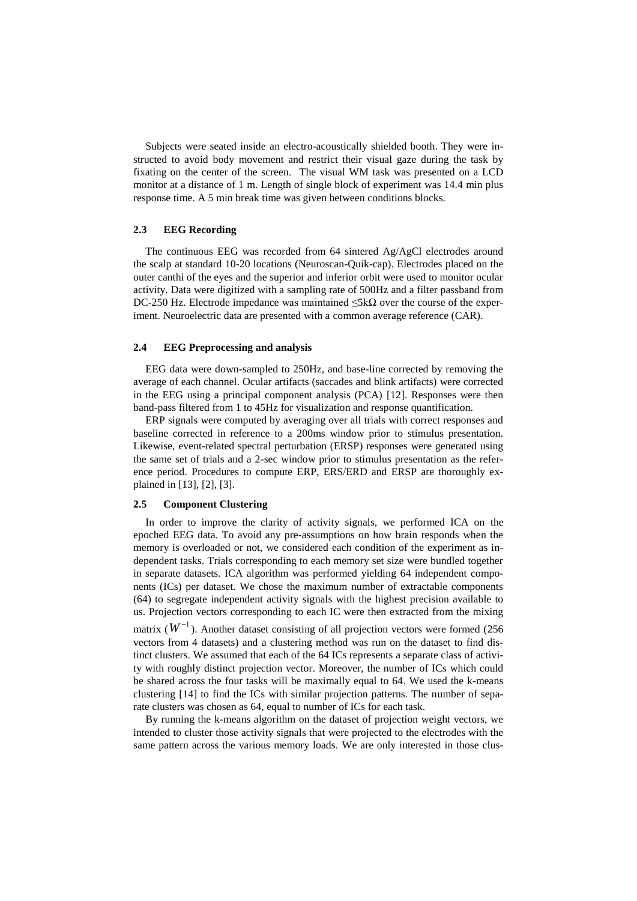Subjects were seated inside an electro-acoustically shielded booth. They were instructed to avoid body movement and restrict their visual gaze during the task by fixating on the center of the screen. The visual WM task was presented on a LCD monitor at a distance of 1 m. Length of single block of experiment was 14.4 min plus response time. A 5 min break time was given between conditions blocks.

#### **2.3 EEG Recording**

The continuous EEG was recorded from 64 sintered Ag/AgCl electrodes around the scalp at standard 10-20 locations (Neuroscan-Quik-cap). Electrodes placed on the outer canthi of the eyes and the superior and inferior orbit were used to monitor ocular activity. Data were digitized with a sampling rate of 500Hz and a filter passband from DC-250 Hz. Electrode impedance was maintained  $\leq 5k\Omega$  over the course of the experiment. Neuroelectric data are presented with a common average reference (CAR).

#### **2.4 EEG Preprocessing and analysis**

EEG data were down-sampled to 250Hz, and base-line corrected by removing the average of each channel. Ocular artifacts (saccades and blink artifacts) were corrected in the EEG using a principal component analysis (PCA) [12]. Responses were then band-pass filtered from 1 to 45Hz for visualization and response quantification.

ERP signals were computed by averaging over all trials with correct responses and baseline corrected in reference to a 200ms window prior to stimulus presentation. Likewise, event-related spectral perturbation (ERSP) responses were generated using the same set of trials and a 2-sec window prior to stimulus presentation as the reference period. Procedures to compute ERP, ERS/ERD and ERSP are thoroughly explained in [13], [2], [3].

#### **2.5 Component Clustering**

In order to improve the clarity of activity signals, we performed ICA on the epoched EEG data. To avoid any pre-assumptions on how brain responds when the memory is overloaded or not, we considered each condition of the experiment as independent tasks. Trials corresponding to each memory set size were bundled together in separate datasets. ICA algorithm was performed yielding 64 independent components (ICs) per dataset. We chose the maximum number of extractable components (64) to segregate independent activity signals with the highest precision available to us. Projection vectors corresponding to each IC were then extracted from the mixing matrix  $(W^{-1})$ . Another dataset consisting of all projection vectors were formed (256) vectors from 4 datasets) and a clustering method was run on the dataset to find distinct clusters. We assumed that each of the 64 ICs represents a separate class of activity with roughly distinct projection vector. Moreover, the number of ICs which could be shared across the four tasks will be maximally equal to 64. We used the k-means clustering [14] to find the ICs with similar projection patterns. The number of separate clusters was chosen as 64, equal to number of ICs for each task.

By running the k-means algorithm on the dataset of projection weight vectors, we intended to cluster those activity signals that were projected to the electrodes with the same pattern across the various memory loads. We are only interested in those clus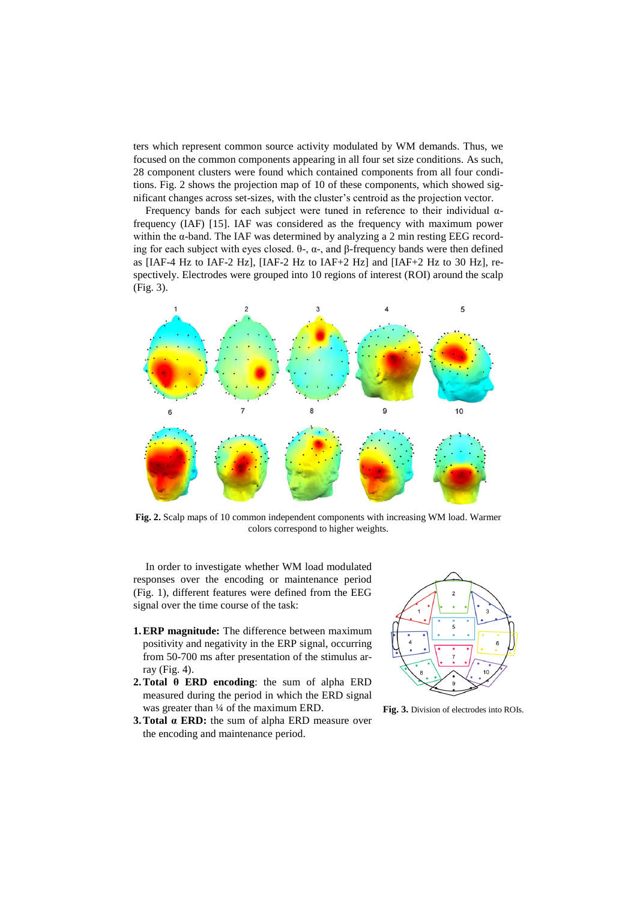ters which represent common source activity modulated by WM demands. Thus, we focused on the common components appearing in all four set size conditions. As such, 28 component clusters were found which contained components from all four conditions. Fig. 2 shows the projection map of 10 of these components, which showed significant changes across set-sizes, with the cluster's centroid as the projection vector.

Frequency bands for each subject were tuned in reference to their individual  $\alpha$ frequency (IAF) [15]. IAF was considered as the frequency with maximum power within the  $\alpha$ -band. The IAF was determined by analyzing a 2 min resting EEG recording for each subject with eyes closed. θ-, α-, and β-frequency bands were then defined as [IAF-4 Hz to IAF-2 Hz], [IAF-2 Hz to IAF+2 Hz] and [IAF+2 Hz to 30 Hz], respectively. Electrodes were grouped into 10 regions of interest (ROI) around the scalp (Fig. 3).



**Fig. 2.** Scalp maps of 10 common independent components with increasing WM load. Warmer colors correspond to higher weights.

In order to investigate whether WM load modulated responses over the encoding or maintenance period (Fig. 1), different features were defined from the EEG signal over the time course of the task:

- **1.ERP magnitude:** The difference between maximum positivity and negativity in the ERP signal, occurring from 50-700 ms after presentation of the stimulus array (Fig. 4).
- **2.Total θ ERD encoding**: the sum of alpha ERD measured during the period in which the ERD signal was greater than  $\frac{1}{4}$  of the maximum ERD.
- **3.Total α ERD:** the sum of alpha ERD measure over the encoding and maintenance period.



**Fig. 3.** Division of electrodes into ROIs.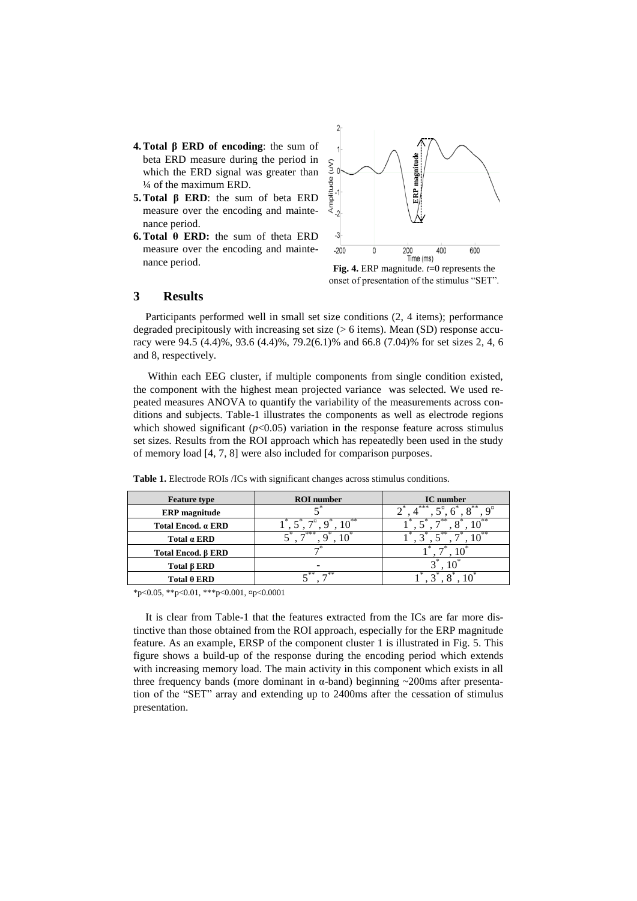- **4.Total β ERD of encoding**: the sum of beta ERD measure during the period in which the ERD signal was greater than ¼ of the maximum ERD.
- **5.Total β ERD**: the sum of beta ERD measure over the encoding and maintenance period.
- **6.Total θ ERD:** the sum of theta ERD measure over the encoding and maintenance period.



**Fig. 4.** ERP magnitude. *t*=0 represents the

## **3 Results**

Participants performed well in small set size conditions (2, 4 items); performance degraded precipitously with increasing set size  $(> 6$  items). Mean  $(SD)$  response accuracy were 94.5 (4.4)%, 93.6 (4.4)%, 79.2(6.1)% and 66.8 (7.04)% for set sizes 2, 4, 6 and 8, respectively.

Within each EEG cluster, if multiple components from single condition existed, the component with the highest mean projected variance was selected. We used repeated measures ANOVA to quantify the variability of the measurements across conditions and subjects. Table-1 illustrates the components as well as electrode regions which showed significant  $(p<0.05)$  variation in the response feature across stimulus set sizes. Results from the ROI approach which has repeatedly been used in the study of memory load [4, 7, 8] were also included for comparison purposes.

| <b>Feature type</b>       | <b>ROI</b> number | <b>IC</b> number |
|---------------------------|-------------------|------------------|
| <b>ERP</b> magnitude      |                   | .***             |
| Total Encod. a ERD        | - **              |                  |
| Total a ERD               | $-***$            | 、冰冰<br>- 米米      |
| Total Encod. <b>B</b> ERD |                   |                  |
| Total $\beta$ ERD         |                   |                  |
| Total $\theta$ ERD        | — **              |                  |

**Table 1.** Electrode ROIs /ICs with significant changes across stimulus conditions.

 $*_{p<0.05}$ ,  $*_{p<0.01}$ ,  $*_{p<0.001}$ ,  $*_{p<0.0001}$ 

It is clear from Table-1 that the features extracted from the ICs are far more distinctive than those obtained from the ROI approach, especially for the ERP magnitude feature. As an example, ERSP of the component cluster 1 is illustrated in Fig. 5. This figure shows a build-up of the response during the encoding period which extends with increasing memory load. The main activity in this component which exists in all three frequency bands (more dominant in  $\alpha$ -band) beginning  $\sim$ 200ms after presentation of the "SET" array and extending up to 2400ms after the cessation of stimulus presentation.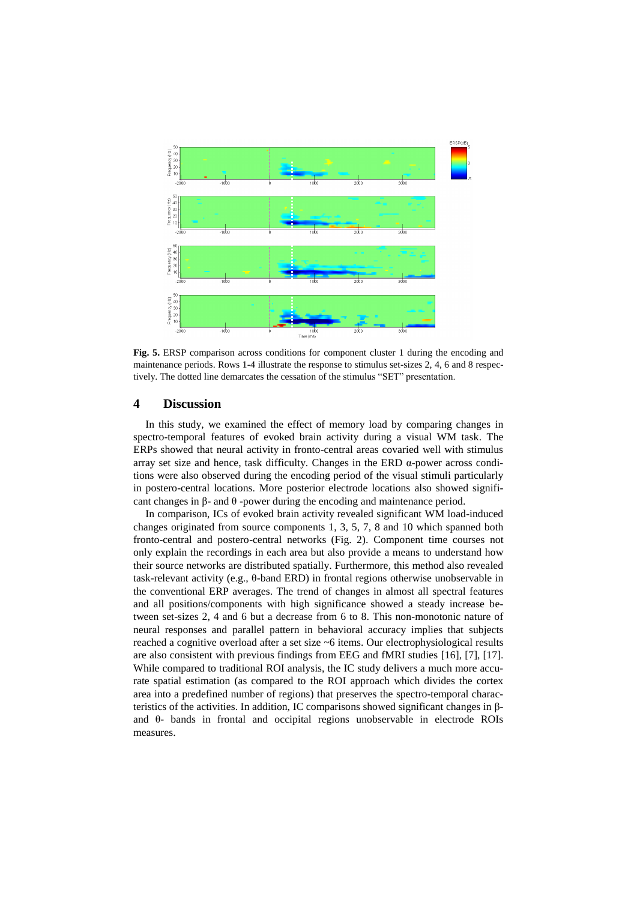

**Fig. 5.** ERSP comparison across conditions for component cluster 1 during the encoding and maintenance periods. Rows 1-4 illustrate the response to stimulus set-sizes 2, 4, 6 and 8 respectively. The dotted line demarcates the cessation of the stimulus "SET" presentation.

## **4 Discussion**

In this study, we examined the effect of memory load by comparing changes in spectro-temporal features of evoked brain activity during a visual WM task. The ERPs showed that neural activity in fronto-central areas covaried well with stimulus array set size and hence, task difficulty. Changes in the ERD  $\alpha$ -power across conditions were also observed during the encoding period of the visual stimuli particularly in postero-central locations. More posterior electrode locations also showed significant changes in β- and θ -power during the encoding and maintenance period.

In comparison, ICs of evoked brain activity revealed significant WM load-induced changes originated from source components 1, 3, 5, 7, 8 and 10 which spanned both fronto-central and postero-central networks (Fig. 2). Component time courses not only explain the recordings in each area but also provide a means to understand how their source networks are distributed spatially. Furthermore, this method also revealed task-relevant activity (e.g., θ-band ERD) in frontal regions otherwise unobservable in the conventional ERP averages. The trend of changes in almost all spectral features and all positions/components with high significance showed a steady increase between set-sizes 2, 4 and 6 but a decrease from 6 to 8. This non-monotonic nature of neural responses and parallel pattern in behavioral accuracy implies that subjects reached a cognitive overload after a set size ~6 items. Our electrophysiological results are also consistent with previous findings from EEG and fMRI studies [16], [7], [17]. While compared to traditional ROI analysis, the IC study delivers a much more accurate spatial estimation (as compared to the ROI approach which divides the cortex area into a predefined number of regions) that preserves the spectro-temporal characteristics of the activities. In addition, IC comparisons showed significant changes in βand θ- bands in frontal and occipital regions unobservable in electrode ROIs measures.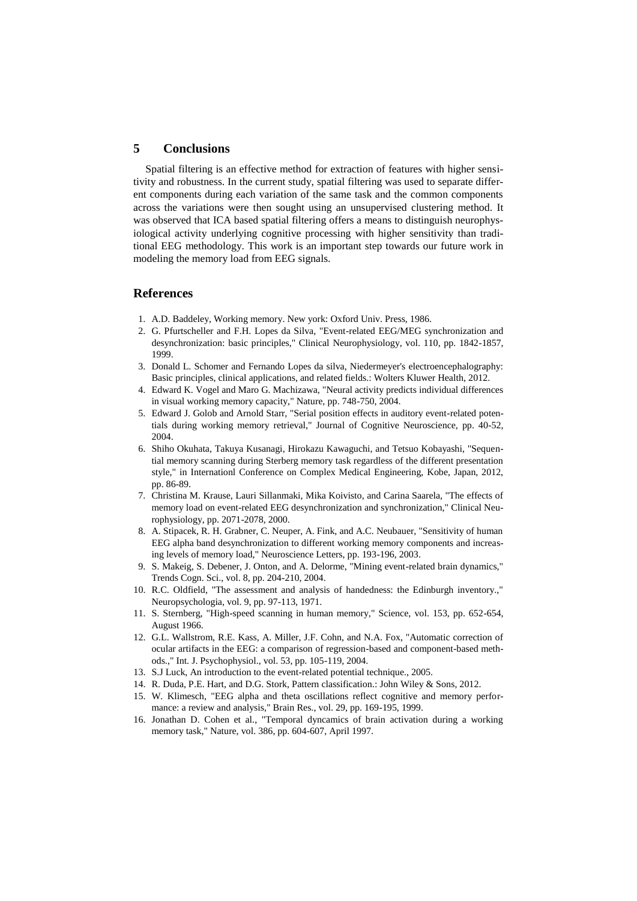## **5 Conclusions**

Spatial filtering is an effective method for extraction of features with higher sensitivity and robustness. In the current study, spatial filtering was used to separate different components during each variation of the same task and the common components across the variations were then sought using an unsupervised clustering method. It was observed that ICA based spatial filtering offers a means to distinguish neurophysiological activity underlying cognitive processing with higher sensitivity than traditional EEG methodology. This work is an important step towards our future work in modeling the memory load from EEG signals.

## **References**

- 1. A.D. Baddeley, Working memory. New york: Oxford Univ. Press, 1986.
- 2. G. Pfurtscheller and F.H. Lopes da Silva, "Event-related EEG/MEG synchronization and desynchronization: basic principles," Clinical Neurophysiology, vol. 110, pp. 1842-1857, 1999.
- 3. Donald L. Schomer and Fernando Lopes da silva, Niedermeyer's electroencephalography: Basic principles, clinical applications, and related fields.: Wolters Kluwer Health, 2012.
- 4. Edward K. Vogel and Maro G. Machizawa, "Neural activity predicts individual differences in visual working memory capacity," Nature, pp. 748-750, 2004.
- 5. Edward J. Golob and Arnold Starr, "Serial position effects in auditory event-related potentials during working memory retrieval," Journal of Cognitive Neuroscience, pp. 40-52, 2004.
- 6. Shiho Okuhata, Takuya Kusanagi, Hirokazu Kawaguchi, and Tetsuo Kobayashi, "Sequential memory scanning during Sterberg memory task regardless of the different presentation style," in Internationl Conference on Complex Medical Engineering, Kobe, Japan, 2012, pp. 86-89.
- 7. Christina M. Krause, Lauri Sillanmaki, Mika Koivisto, and Carina Saarela, "The effects of memory load on event-related EEG desynchronization and synchronization," Clinical Neurophysiology, pp. 2071-2078, 2000.
- 8. A. Stipacek, R. H. Grabner, C. Neuper, A. Fink, and A.C. Neubauer, "Sensitivity of human EEG alpha band desynchronization to different working memory components and increasing levels of memory load," Neuroscience Letters, pp. 193-196, 2003.
- 9. S. Makeig, S. Debener, J. Onton, and A. Delorme, "Mining event-related brain dynamics," Trends Cogn. Sci., vol. 8, pp. 204-210, 2004.
- 10. R.C. Oldfield, "The assessment and analysis of handedness: the Edinburgh inventory.," Neuropsychologia, vol. 9, pp. 97-113, 1971.
- 11. S. Sternberg, "High-speed scanning in human memory," Science, vol. 153, pp. 652-654, August 1966.
- 12. G.L. Wallstrom, R.E. Kass, A. Miller, J.F. Cohn, and N.A. Fox, "Automatic correction of ocular artifacts in the EEG: a comparison of regression-based and component-based methods.," Int. J. Psychophysiol., vol. 53, pp. 105-119, 2004.
- 13. S.J Luck, An introduction to the event-related potential technique., 2005.
- 14. R. Duda, P.E. Hart, and D.G. Stork, Pattern classification.: John Wiley & Sons, 2012.
- 15. W. Klimesch, "EEG alpha and theta oscillations reflect cognitive and memory performance: a review and analysis," Brain Res., vol. 29, pp. 169-195, 1999.
- 16. Jonathan D. Cohen et al., "Temporal dyncamics of brain activation during a working memory task," Nature, vol. 386, pp. 604-607, April 1997.